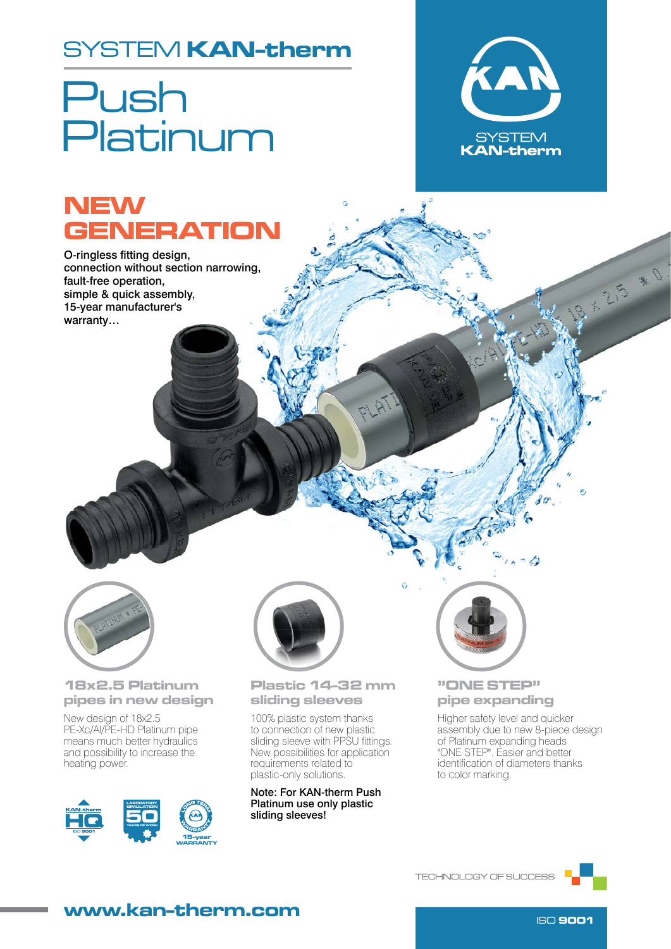### SYSTEM KAN-therm

# Push Platinum



23

## **NEW GENERATION**

O-ringless fitting design, connection without section narrowing, fault-free operation, simple & quick assembly, 15-year manufacturer's warranty…



#### 18x2.5 Platinum pipes in new design

New design of 18x2.5 PE-Xc/Al/PE-HD Platinum pipe means much better hydraulics and possibility to increase the heating power.





### Plastic 14-32 mm sliding sleeves

100% plastic system thanks to connection of new plastic sliding sleeve with PPSU fittings. New possibilities for application requirements related to plastic-only solutions.

Note: For KAN-therm Push Platinum use only plastic sliding sleeves!



### "ONE STEP" pipe expanding

Higher safety level and quicker assembly due to new 8-piece design of Platinum expanding heads "ONE STEP". Easier and better identification of diameters thanks to color marking.

 $\sim$   $\triangle$ 



### www.kan-therm.com